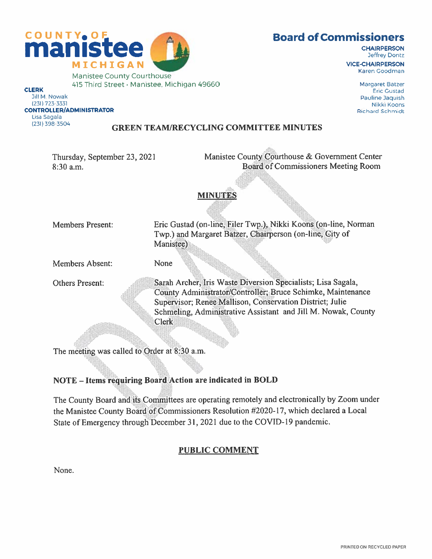

#### Board of Commissioners

**CHAIRPERSON** Jeffrey Dontz

VICE-CHAIRPERSON Karen Goodman

> Margaret Baize' **Eric Gustad** Pauline Jaquish Nikki Koons **Richard Schmidt**

COUNTY, OF MICHIGAN CLERK Manistee County Courthouse 415 Third Street  $\cdot$  Manistee, Michigan 49660

Jill M Nowak (231) 723-3331 CONTROLLER/ADMINISTRATOR Lisa Sagala (231) 398-3504

#### GREEN TEAMJRECYCLING COMMITTEE MINUTES

Thursday, September 23, 2021 8:30 a.m.

Manistee County Courthouse & Government Center Board of Commissioners Meeting Room

#### MINUTES

Members Present:

Eric Gustad (on-line, Filer Twp.), Nikki Koons (on-line, Norman Twp.) and Margaret Batzer, Chairperson (on-line, City of Manistee)

Members Absent: None

Others Present:

Sarah Archer, Iris Waste Diversion Specialists; Lisa Sagala, - County Administrator/Controller; Bruce Schimke, Maintenance - Supervisor; Renee Mallison, Conservation District; Julie Schmeling, Administrative Assistant and Jill M. Nowak, County Clerk

The meeting was called to Order at 8:30 a.m.

#### NOTE – Items requiring Board Action are indicated in BOLD

an di Kabupatén Grégoria Kabupatén Jaw The County Board and its Committees are operating remotely and electronically by Zoom under the Manistee County Board of Commissioners Resolution #2020-17, which declared a Local State of Emergency through December 31, <sup>2021</sup> due to the COVID- <sup>19</sup> pandemic.

#### PUBLIC COMMENT

None.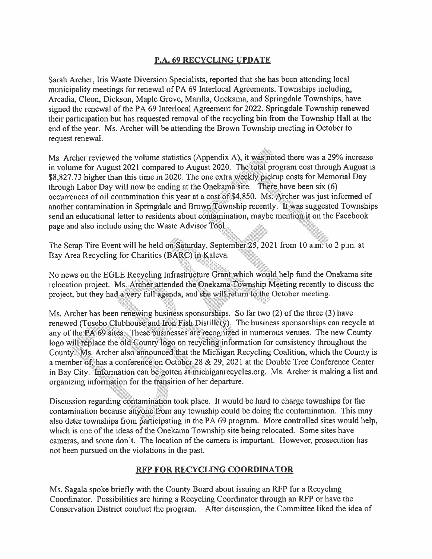#### P.A. 69 RECYCLING UPDATE

Sarah Archer, Iris Waste Diversion Specialists, reported that she has been attending local municipality meetings for renewal of PA <sup>69</sup> Interlocal Agreements. Townships including, Arcadia, Cleon, Dickson, Maple Grove, Marilla, Onekama, and Springdale Townships, have signed the renewal of the PA 69 Interlocal Agreement for 2022. Springdale Township renewed their participation but has requested removal of the recycling bin from the Township Hall at the end of the year. Ms. Archer will be attending the Brown Township meeting in October to reques<sup>t</sup> renewal.

Ms. Archer reviewed the volume statistics (Appendix A), it was noted there was a  $29\%$  increase in volume for August 2021 compared to August 2020. The total program cost through August is S8,827.73 higher than this time in 2020. The one extra weekly <sup>p</sup>ickup costs for Memorial Day through Labor Day will now be ending at the Onekama site. There have been six (6) occurrences of oil contamination this year at a cost of \$4,850. Ms. Archer was just informed of another contamination in Springdale and Brown Township recently. It was suggested Townships send an educational letter to residents about contamination, maybe mention it on the Facebook page and also include using the Waste Advisor Tool.

The Scrap Tire Event will be held on Saturday, September  $25$ , 2021 from 10 a.m. to 2 p.m. at Bay Area Recycling for Charities (BARC) in Kaleva.

No news on the EGLE Recycling Infrastructure Grant which would help fund the Onekama site relocation project. Ms. Archer attended the Onekama Township Meeting recently to discuss the project, but they had <sup>a</sup> very full agenda, and she will return to the October meeting

Ms. Archer has been renewing business sponsorships. So far two (2) of the three (3) have renewed (Tosebo Clubhouse and Iron Fish Distillery). The business sponsorships can recycle at any of the PA <sup>69</sup> sites. These businesses are recognized in numerous venues. The new County logo will replace the old County logo on recycling intormation for consistency throughout the County. Ms. Archer also announced that the Michigan Recycling Coalition, which the County is <sup>a</sup> member of, has <sup>a</sup> conference on October28 & 29, 2021 at the Double Tree Conference Center in Bay City. Information can be gotten at michiganrecycles.org. Ms. Archer is making a list and organizing information for the transition of her departure.

Discussion regarding contamination took place. It would be hard to charge townships for the contamination because anyone from any township could be doing the contamination. This may also deter townships from participating in the PA 69 program. More controlled sites would help, which is one of the ideas of the Onekama Township site being relocated. Some sites have cameras, and some don't. The location of the camera is important. However, prosecution has not been pursued on the violations in the past.

#### RFP FOR RECYCLING COORDINATOR

Ms. Sagala spoke briefly with the County Board about issuing an RFP for <sup>a</sup> Recycling Coordinator. Possibilities are hiring <sup>a</sup> Recycling Coordinator through an RFP or have the Conservation District conduct the program. After discussion, the Committee liked the idea of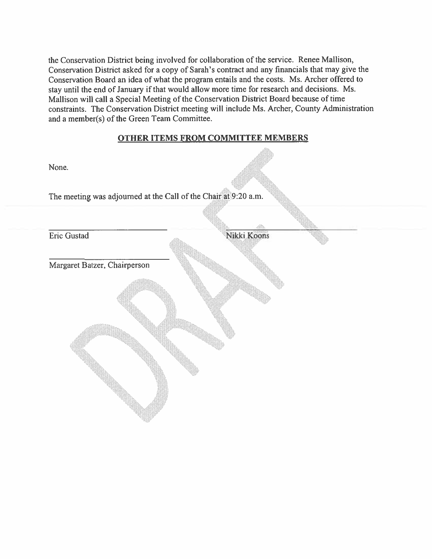the Conservation District being involved for collaboration of the service. Renee Mallison, Conservation District asked for <sup>a</sup> copy of Sarah's contract and any financials that may <sup>g</sup>ive the Conservation Board an idea of what the program entails and the costs. Ms. Archer offered to stay until the end of January if that would allow more time for research and decisions. Ms. Mallison will call <sup>a</sup> Special Meeting of the Conservation District Board because of time constraints. The Conservation District meeting will include Ms. Archer, County Administration and <sup>a</sup> member(s) of the Green Team Committee.

#### OTHER ITEMS FROM COMMITTEE MEMBERS

en Stringen.<br>Statistiken

| None.                                                           |             |
|-----------------------------------------------------------------|-------------|
| The meeting was adjourned at the Call of the Chair at 9:20 a.m. |             |
|                                                                 |             |
| Eric Gustad                                                     | Nikki Koons |
| Margaret Batzer, Chairperson                                    |             |
|                                                                 |             |
|                                                                 |             |
|                                                                 |             |
|                                                                 |             |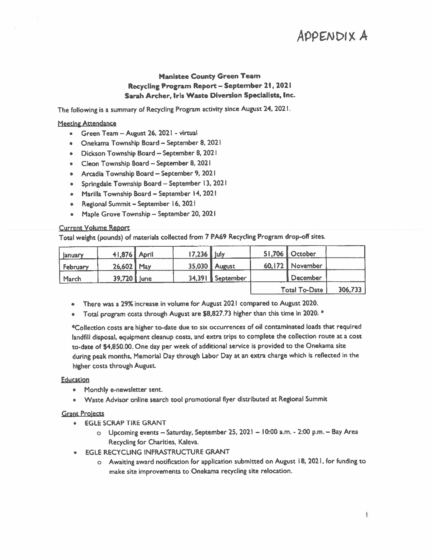### ADDENDIX A

# Manistee County Green Team Recycling Program Report — September 21,2021 Sarah Archer, Iris Waste Diversion Specialists, Inc. AppENDIX<br>
Manistee County Green Team<br>
Recycling Program Report – September 21, 2021<br>
Sarah Archer, Iris Waste Diversion Specialists, Inc.<br>
He following is a summary of Recycling Program activity since August 24, 2021.<br>
Sar

#### **Meeting Attendance**

- Green Team August 26, 2021 virtual
- Onekama Township Board September 8, 2021
- Dickson Township Board September 8, 2021
- Cleon Township Board September 8, 2021
- Arcadia Township Board September 9, <sup>2021</sup>
- Spririgdale Township Board September 13. <sup>2021</sup>
- Marilla Township Board September 14, 2021
- Regional Summit September 16, 2021
- Maple Grove Township September 20. <sup>2021</sup>

#### Current Volume Report

|                                                                                                                                            |                                                                                                                                                                                                                                                                                                                                                                                                                    |       |              |                                                                                            |        |                      | APPENDIX A |
|--------------------------------------------------------------------------------------------------------------------------------------------|--------------------------------------------------------------------------------------------------------------------------------------------------------------------------------------------------------------------------------------------------------------------------------------------------------------------------------------------------------------------------------------------------------------------|-------|--------------|--------------------------------------------------------------------------------------------|--------|----------------------|------------|
| <b>Manistee County Green Team</b><br>Recycling Program Report - September 21, 2021<br>Sarah Archer, Iris Waste Diversion Specialists, Inc. |                                                                                                                                                                                                                                                                                                                                                                                                                    |       |              |                                                                                            |        |                      |            |
| The following is a summary of Recycling Program activity since August 24, 2021.                                                            |                                                                                                                                                                                                                                                                                                                                                                                                                    |       |              |                                                                                            |        |                      |            |
| <b>Meeting Attendance</b><br>۰<br>٠<br>۰<br>٠<br>۰<br>۰<br>٠<br>٠<br>٠<br><b>Current Volume Report</b>                                     | Green Team - August 26, 2021 - virtual<br>Onekama Township Board - September 8, 2021<br>Dickson Township Board - September 8, 2021<br>Cleon Township Board - September 8, 2021<br>Arcadia Township Board - September 9, 2021<br>Springdale Township Board - September 13, 2021<br>Marilla Township Board - September 14, 2021<br>Regional Summit - September 16, 2021<br>Maple Grove Township - September 20, 2021 |       |              |                                                                                            |        |                      |            |
|                                                                                                                                            |                                                                                                                                                                                                                                                                                                                                                                                                                    |       |              | Total weight (pounds) of materials collected from 7 PA69 Recycling Program drop-off sites. |        |                      |            |
| January                                                                                                                                    | 41,876                                                                                                                                                                                                                                                                                                                                                                                                             | April | $17,236$ uly |                                                                                            | 51,706 | October              |            |
| February                                                                                                                                   | 26,602                                                                                                                                                                                                                                                                                                                                                                                                             | May   | 35,030       | August                                                                                     | 60.172 | <b>November</b>      |            |
| March                                                                                                                                      | 39,720                                                                                                                                                                                                                                                                                                                                                                                                             | June  | 34,391       | September                                                                                  |        | December             |            |
|                                                                                                                                            |                                                                                                                                                                                                                                                                                                                                                                                                                    |       |              |                                                                                            |        | <b>Total To-Date</b> | 306,733    |

- •There was <sup>a</sup> 29% increase in volume for August 2021 compared to August 2020.
- Total program costs through August are \$8,827.73 higher than this time in 2020. \*

Collectlon costs are higher to-date due to six occurrences of oil contaminated loads that required landfill disposal, equipment cleanup costs, and extra trips to complete the collection route at <sup>a</sup> cost to-date of \$4,850.00. One day per week of additional service is provided to the Onekama site during pea<sup>k</sup> months, Memorial Day through Labor Day at an extra charge which is reflected in the higher costs through August

#### Education

- •Monthly e-newsletter sent.
- •Waste Advisor online search tool promotional flyer distributed at Regional Summit

#### Grant Proiects

- • EGLE SCRAP TIRE GRANT
	- <sup>o</sup> Upcoming events Saturday, September 25, <sup>2021</sup> 10:00 a.m. 2:00 p.m. Bay Area Recycling for Charities, Kaleva.
- • EGLE RECYCLING INFRASTRUCTURE GRANT
	- <sup>o</sup> Awaiting award notification for application submitted on August 18, 2021, for funding to make site improvements to Onekama recycling site relocation.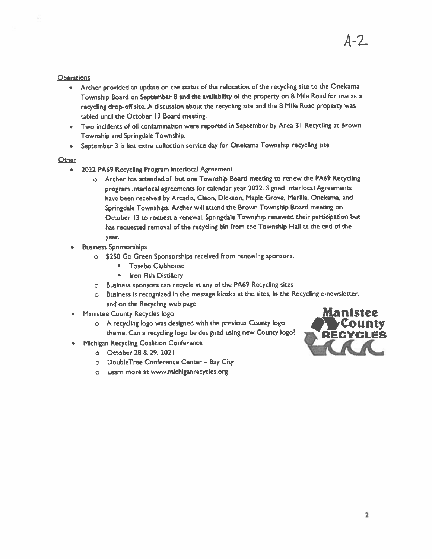#### **Operations**

- Archer provided an update on the status of the relocation of the recycling site to the Onekarna Township Board on September <sup>8</sup> and the availability of the property on <sup>B</sup> Mile Road for use as <sup>a</sup> recycling drop-off site. <sup>A</sup> discussion about the recycling site and the <sup>8</sup> Mile Road property was tabled until the October 13 Board meeting.
- • Two incidents of oil contamination were reported in September by Area <sup>31</sup> Recycling at Brown Township and Springdale Township.
- •September <sup>3</sup> Is last extra collection service day for Onekama Township recycling site

#### Other

- • 2022 PA69 Recycling Program lnterlocal Agreement
	- <sup>o</sup> Archer has attended all but one Township Board meeting to renew the PA69 Recycling program lnterlocal agreements for calendar year 2022. Signed Interlocal Agreements have been received by Arcadia, Cleon, Dickson, Maple Grove, Marilla, Onekama, and Springdale Townships. Archer will attend the Brown Township Board meeting on October <sup>13</sup> to reques<sup>t</sup> <sup>a</sup> renewal. Springdale Township renewed their participation but has requested removal of the recycling bin from the Township Hall at the end of the year.
- Business Sponsorships
	- <sup>o</sup> \$250 Go Green Sponsorships received from renewing sponsors:
		- •Tosebo Clubhouse
		- $\blacksquare$ Iron Fish Distillery
	- <sup>o</sup> Business sponsors can recycle at any of the PA69 Recycling sites
	- <sup>o</sup> Business is recognized in the message kiosks at the sites, In the Recycling e-newsletter, and on the Recycling web page
- •
- Manistee County Recycles logo **Manistee**<br>
o A recycling logo was designed with the previous County logo **COUNTY** <sup>o</sup> <sup>A</sup> recycling logo was designed with the previous County logo theme. Can a recycling logo be designed using new County logo?
- • Michigan Recycling Coalition Conference
	- <sup>o</sup> October28 & 29, 2021
	- <sup>o</sup> DoubleTree Conference Center Bay City
	- <sup>o</sup> Learn more at www.michiganrecycles.org



A-2